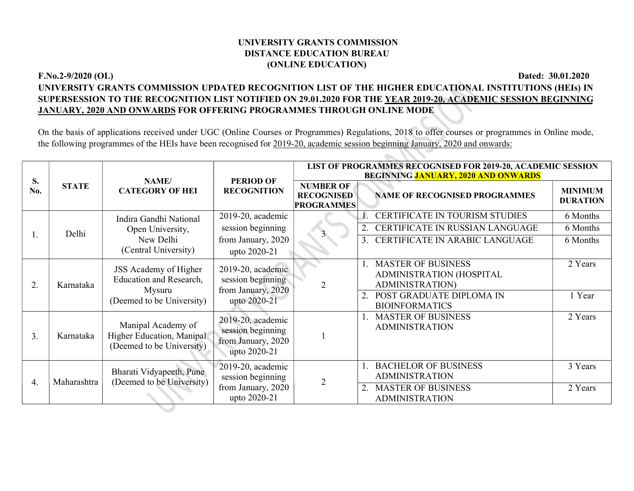### F.No.2-9/2020 (OL) Dated: 30.01.2020 UNIVERSITY GRANTS COMMISSION UPDATED RECOGNITION LIST OF THE HIGHER EDUCATIONAL INSTITUTIONS (HEIs) IN SUPERSESSION TO THE RECOGNITION LIST NOTIFIED ON 29.01.2020 FOR THE YEAR 2019-20, ACADEMIC SESSION BEGINNING JANUARY, 2020 AND ONWARDS FOR OFFERING PROGRAMMES THROUGH ONLINE MODE

On the basis of applications received under UGC (Online Courses or Programmes) Regulations, 2018 to offer courses or programmes in Online mode, the following programmes of the HEIs have been recognised for 2019-20, academic session beginning January, 2020 and onwards:

|     | <b>STATE</b> | NAME/<br><b>CATEGORY OF HEI</b>                                                         | <b>PERIOD OF</b><br><b>RECOGNITION</b>                                       | LIST OF PROGRAMMES RECOGNISED FOR 2019-20, ACADEMIC SESSION |                                                                                                                  |                                   |
|-----|--------------|-----------------------------------------------------------------------------------------|------------------------------------------------------------------------------|-------------------------------------------------------------|------------------------------------------------------------------------------------------------------------------|-----------------------------------|
| S.  |              |                                                                                         |                                                                              | <b>BEGINNING JANUARY, 2020 AND ONWARDS</b>                  |                                                                                                                  |                                   |
| No. |              |                                                                                         |                                                                              | <b>NUMBER OF</b><br><b>RECOGNISED</b><br><b>PROGRAMMES</b>  | <b>NAME OF RECOGNISED PROGRAMMES</b>                                                                             | <b>MINIMUM</b><br><b>DURATION</b> |
|     |              | Indira Gandhi National                                                                  | 2019-20, academic                                                            |                                                             | CERTIFICATE IN TOURISM STUDIES                                                                                   | 6 Months                          |
|     | Delhi        | Open University,<br>New Delhi                                                           | session beginning                                                            |                                                             | 2.<br>CERTIFICATE IN RUSSIAN LANGUAGE                                                                            | 6 Months                          |
| 1.  |              |                                                                                         | from January, 2020                                                           |                                                             | CERTIFICATE IN ARABIC LANGUAGE<br>3.                                                                             | 6 Months                          |
|     |              | (Central University)                                                                    | upto 2020-21                                                                 |                                                             |                                                                                                                  |                                   |
| 2.  | Karnataka    | JSS Academy of Higher<br>Education and Research,<br>Mysuru<br>(Deemed to be University) | 2019-20, academic<br>session beginning<br>from January, 2020<br>upto 2020-21 |                                                             | <b>MASTER OF BUSINESS</b><br>ADMINISTRATION (HOSPITAL                                                            | 2 Years                           |
|     |              |                                                                                         |                                                                              |                                                             | <b>ADMINISTRATION)</b><br>POST GRADUATE DIPLOMA IN<br>$\overline{2}$ .<br><b>BIOINFORMATICS</b>                  | 1 Year                            |
| 3.  | Karnataka    | Manipal Academy of<br>Higher Education, Manipal<br>(Deemed to be University)            | 2019-20, academic<br>session beginning<br>from January, 2020<br>upto 2020-21 |                                                             | <b>MASTER OF BUSINESS</b><br><b>ADMINISTRATION</b>                                                               | 2 Years                           |
| 4.  | Maharashtra  | Bharati Vidyapeeth, Pune<br>(Deemed to be University)                                   | 2019-20, academic<br>session beginning<br>from January, 2020<br>upto 2020-21 | $\overline{2}$                                              | <b>BACHELOR OF BUSINESS</b><br><b>ADMINISTRATION</b><br><b>MASTER OF BUSINESS</b><br>2.<br><b>ADMINISTRATION</b> | 3 Years<br>2 Years                |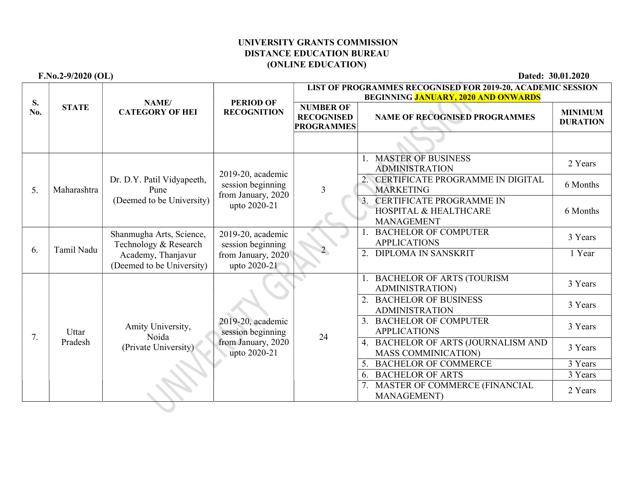F.No.2-9/2020 (OL) Dated: 30.01.2020

|           | <b>STATE</b>     | <b>NAME</b> /<br><b>CATEGORY OF HEI</b>                                                              | <b>PERIOD OF</b><br><b>RECOGNITION</b>                                       | LIST OF PROGRAMMES RECOGNISED FOR 2019-20, ACADEMIC SESSION |                                                                                                 |                                   |  |
|-----------|------------------|------------------------------------------------------------------------------------------------------|------------------------------------------------------------------------------|-------------------------------------------------------------|-------------------------------------------------------------------------------------------------|-----------------------------------|--|
| S.<br>No. |                  |                                                                                                      |                                                                              | <b>BEGINNING JANUARY, 2020 AND ONWARDS</b>                  |                                                                                                 |                                   |  |
|           |                  |                                                                                                      |                                                                              | <b>NUMBER OF</b><br><b>RECOGNISED</b><br><b>PROGRAMMES</b>  | <b>NAME OF RECOGNISED PROGRAMMES</b>                                                            | <b>MINIMUM</b><br><b>DURATION</b> |  |
|           |                  |                                                                                                      |                                                                              |                                                             |                                                                                                 |                                   |  |
|           | Maharashtra      | Dr. D.Y. Patil Vidyapeeth,<br>Pune<br>(Deemed to be University)                                      | 2019-20, academic<br>session beginning<br>from January, 2020<br>upto 2020-21 |                                                             | 1. MASTER OF BUSINESS<br><b>ADMINISTRATION</b>                                                  | 2 Years                           |  |
| 5.        |                  |                                                                                                      |                                                                              | 3                                                           | CERTIFICATE PROGRAMME IN DIGITAL<br><b>MARKETING</b>                                            | 6 Months                          |  |
|           |                  |                                                                                                      |                                                                              |                                                             | <b>CERTIFICATE PROGRAMME IN</b><br>$\mathbf{3}$ .<br>HOSPITAL & HEALTHCARE<br><b>MANAGEMENT</b> | 6 Months                          |  |
|           | Tamil Nadu       | Shanmugha Arts, Science,<br>Technology & Research<br>Academy, Thanjavur<br>(Deemed to be University) | 2019-20, academic<br>session beginning<br>from January, 2020<br>upto 2020-21 |                                                             | <b>BACHELOR OF COMPUTER</b><br><b>APPLICATIONS</b>                                              | 3 Years                           |  |
| 6.        |                  |                                                                                                      |                                                                              |                                                             | 2. DIPLOMA IN SANSKRIT                                                                          | 1 Year                            |  |
|           | Uttar<br>Pradesh | Amity University,<br>Noida<br>(Private University)                                                   | 2019-20, academic<br>session beginning<br>from January, 2020<br>upto 2020-21 | 24                                                          | 1. BACHELOR OF ARTS (TOURISM<br><b>ADMINISTRATION)</b>                                          | 3 Years                           |  |
|           |                  |                                                                                                      |                                                                              |                                                             | <b>BACHELOR OF BUSINESS</b><br><b>ADMINISTRATION</b>                                            | 3 Years                           |  |
| 7.        |                  |                                                                                                      |                                                                              |                                                             | <b>BACHELOR OF COMPUTER</b><br>3.<br><b>APPLICATIONS</b>                                        | 3 Years                           |  |
|           |                  |                                                                                                      |                                                                              |                                                             | 4. BACHELOR OF ARTS (JOURNALISM AND<br><b>MASS COMMINICATION)</b>                               | 3 Years                           |  |
|           |                  |                                                                                                      |                                                                              |                                                             | <b>BACHELOR OF COMMERCE</b><br>5.                                                               | 3 Years                           |  |
|           |                  |                                                                                                      |                                                                              |                                                             | <b>BACHELOR OF ARTS</b><br>6.                                                                   | 3 Years                           |  |
|           |                  |                                                                                                      |                                                                              |                                                             | MASTER OF COMMERCE (FINANCIAL<br>MANAGEMENT)                                                    | 2 Years                           |  |
|           |                  |                                                                                                      |                                                                              |                                                             |                                                                                                 |                                   |  |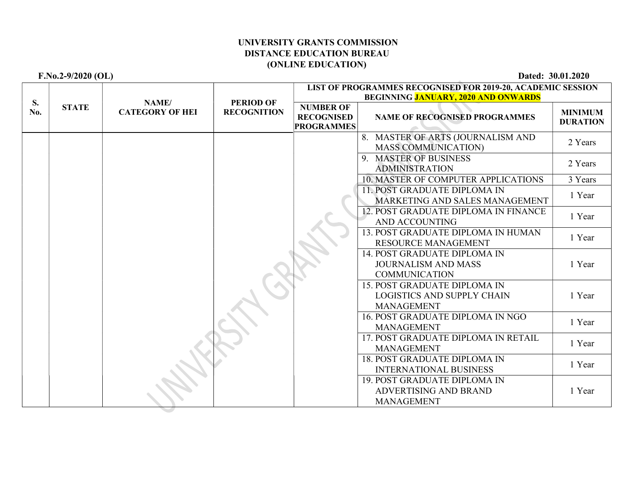F.No.2-9/2020 (OL) Dated: 30.01.2020

|           |              | NAME/<br><b>PERIOD OF</b><br><b>CATEGORY OF HEI</b><br><b>RECOGNITION</b> | LIST OF PROGRAMMES RECOGNISED FOR 2019-20, ACADEMIC SESSION |                                                            |                                                                                               |                                   |  |
|-----------|--------------|---------------------------------------------------------------------------|-------------------------------------------------------------|------------------------------------------------------------|-----------------------------------------------------------------------------------------------|-----------------------------------|--|
| S.<br>No. | <b>STATE</b> |                                                                           |                                                             | <b>BEGINNING JANUARY, 2020 AND ONWARDS</b>                 |                                                                                               |                                   |  |
|           |              |                                                                           |                                                             | <b>NUMBER OF</b><br><b>RECOGNISED</b><br><b>PROGRAMMES</b> | <b>NAME OF RECOGNISED PROGRAMMES</b>                                                          | <b>MINIMUM</b><br><b>DURATION</b> |  |
|           |              |                                                                           |                                                             |                                                            | 8. MASTER OF ARTS (JOURNALISM AND<br><b>MASS COMMUNICATION)</b>                               | 2 Years                           |  |
|           |              |                                                                           |                                                             |                                                            | <b>MASTER OF BUSINESS</b><br>9.<br><b>ADMINISTRATION</b>                                      | 2 Years                           |  |
|           |              |                                                                           |                                                             |                                                            | 10. MASTER OF COMPUTER APPLICATIONS                                                           | 3 Years                           |  |
|           |              |                                                                           |                                                             |                                                            | 11. POST GRADUATE DIPLOMA IN<br>MARKETING AND SALES MANAGEMENT                                | 1 Year                            |  |
|           |              |                                                                           |                                                             |                                                            | 12. POST GRADUATE DIPLOMA IN FINANCE<br>AND ACCOUNTING                                        | 1 Year                            |  |
|           |              |                                                                           |                                                             |                                                            | 13. POST GRADUATE DIPLOMA IN HUMAN<br>RESOURCE MANAGEMENT                                     | 1 Year                            |  |
|           |              |                                                                           |                                                             |                                                            | <b>14. POST GRADUATE DIPLOMA IN</b><br><b>JOURNALISM AND MASS</b><br><b>COMMUNICATION</b>     | 1 Year                            |  |
|           |              |                                                                           |                                                             |                                                            | <b>15. POST GRADUATE DIPLOMA IN</b><br><b>LOGISTICS AND SUPPLY CHAIN</b><br><b>MANAGEMENT</b> | 1 Year                            |  |
|           |              |                                                                           |                                                             |                                                            | 16. POST GRADUATE DIPLOMA IN NGO<br><b>MANAGEMENT</b>                                         | 1 Year                            |  |
|           |              |                                                                           |                                                             |                                                            | 17. POST GRADUATE DIPLOMA IN RETAIL<br><b>MANAGEMENT</b>                                      | 1 Year                            |  |
|           |              |                                                                           |                                                             |                                                            | 18. POST GRADUATE DIPLOMA IN<br><b>INTERNATIONAL BUSINESS</b>                                 | 1 Year                            |  |
|           |              |                                                                           |                                                             |                                                            | 19. POST GRADUATE DIPLOMA IN<br>ADVERTISING AND BRAND<br><b>MANAGEMENT</b>                    | 1 Year                            |  |